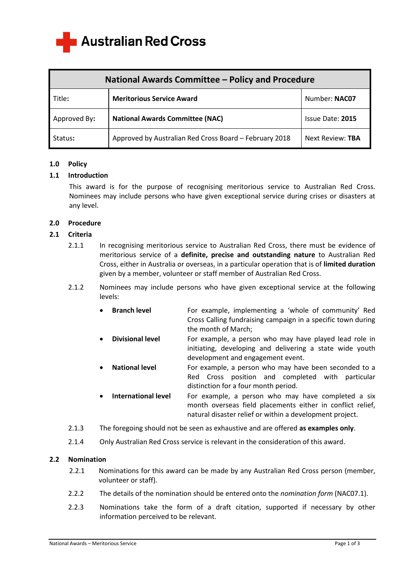**Australian Red Cross** 

| National Awards Committee - Policy and Procedure |                                                        |                  |
|--------------------------------------------------|--------------------------------------------------------|------------------|
| Title:                                           | <b>Meritorious Service Award</b>                       | Number: NAC07    |
| Approved By:                                     | <b>National Awards Committee (NAC)</b>                 | Issue Date: 2015 |
| Status:                                          | Approved by Australian Red Cross Board - February 2018 | Next Review: TBA |

### **1.0 Policy**

### **1.1 Introduction**

This award is for the purpose of recognising meritorious service to Australian Red Cross. Nominees may include persons who have given exceptional service during crises or disasters at any level.

# **2.0 Procedure**

# **2.1 Criteria**

- 2.1.1 In recognising meritorious service to Australian Red Cross, there must be evidence of meritorious service of a **definite, precise and outstanding nature** to Australian Red Cross, either in Australia or overseas, in a particular operation that is of **limited duration** given by a member, volunteer or staff member of Australian Red Cross.
- 2.1.2 Nominees may include persons who have given exceptional service at the following levels:
	- **Branch level** For example, implementing a 'whole of community' Red Cross Calling fundraising campaign in a specific town during the month of March;
	- **Divisional level** For example, a person who may have played lead role in initiating, developing and delivering a state wide youth development and engagement event.
	- **National level** For example, a person who may have been seconded to a Red Cross position and completed with particular distinction for a four month period.
	- **International level** For example, a person who may have completed a six month overseas field placements either in conflict relief, natural disaster relief or within a development project.
- 2.1.3 The foregoing should not be seen as exhaustive and are offered **as examples only**.
- 2.1.4 Only Australian Red Cross service is relevant in the consideration of this award.

### **2.2 Nomination**

- 2.2.1 Nominations for this award can be made by any Australian Red Cross person (member, volunteer or staff).
- 2.2.2 The details of the nomination should be entered onto the *nomination form* (NAC07.1).
- 2.2.3 Nominations take the form of a draft citation, supported if necessary by other information perceived to be relevant.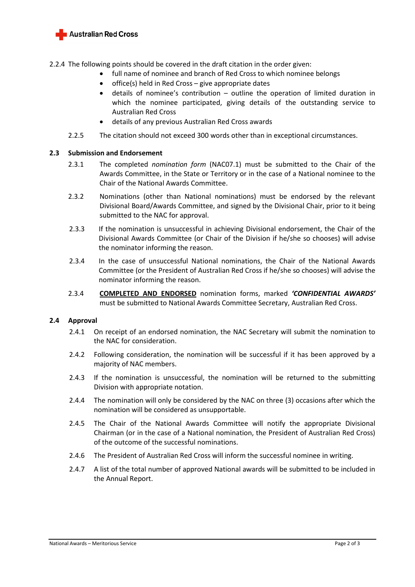

2.2.4 The following points should be covered in the draft citation in the order given:

- full name of nominee and branch of Red Cross to which nominee belongs
- $\bullet$  office(s) held in Red Cross give appropriate dates
- details of nominee's contribution outline the operation of limited duration in which the nominee participated, giving details of the outstanding service to Australian Red Cross
- details of any previous Australian Red Cross awards
- 2.2.5 The citation should not exceed 300 words other than in exceptional circumstances.

### **2.3 Submission and Endorsement**

- 2.3.1 The completed *nomination form* (NAC07.1) must be submitted to the Chair of the Awards Committee, in the State or Territory or in the case of a National nominee to the Chair of the National Awards Committee.
- 2.3.2 Nominations (other than National nominations) must be endorsed by the relevant Divisional Board/Awards Committee, and signed by the Divisional Chair, prior to it being submitted to the NAC for approval.
- 2.3.3 If the nomination is unsuccessful in achieving Divisional endorsement, the Chair of the Divisional Awards Committee (or Chair of the Division if he/she so chooses) will advise the nominator informing the reason.
- 2.3.4 In the case of unsuccessful National nominations, the Chair of the National Awards Committee (or the President of Australian Red Cross if he/she so chooses) will advise the nominator informing the reason.
- 2.3.4 **COMPLETED AND ENDORSED** nomination forms, marked *'CONFIDENTIAL AWARDS'* must be submitted to National Awards Committee Secretary, Australian Red Cross.

### **2.4 Approval**

- 2.4.1 On receipt of an endorsed nomination, the NAC Secretary will submit the nomination to the NAC for consideration.
- 2.4.2 Following consideration, the nomination will be successful if it has been approved by a majority of NAC members.
- 2.4.3 If the nomination is unsuccessful, the nomination will be returned to the submitting Division with appropriate notation.
- 2.4.4 The nomination will only be considered by the NAC on three (3) occasions after which the nomination will be considered as unsupportable.
- 2.4.5 The Chair of the National Awards Committee will notify the appropriate Divisional Chairman (or in the case of a National nomination, the President of Australian Red Cross) of the outcome of the successful nominations.
- 2.4.6 The President of Australian Red Cross will inform the successful nominee in writing.
- 2.4.7 A list of the total number of approved National awards will be submitted to be included in the Annual Report.